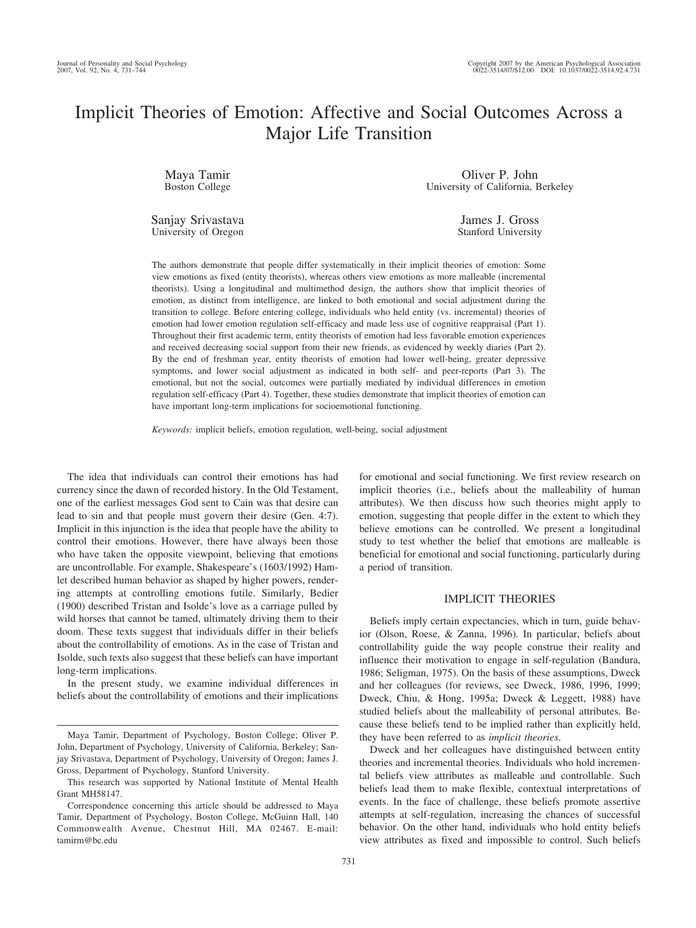# Implicit Theories of Emotion: Affective and Social Outcomes Across a Major Life Transition

Maya Tamir Boston College

Oliver P. John University of California, Berkeley

Sanjay Srivastava University of Oregon

James J. Gross Stanford University

The authors demonstrate that people differ systematically in their implicit theories of emotion: Some view emotions as fixed (entity theorists), whereas others view emotions as more malleable (incremental theorists). Using a longitudinal and multimethod design, the authors show that implicit theories of emotion, as distinct from intelligence, are linked to both emotional and social adjustment during the transition to college. Before entering college, individuals who held entity (vs. incremental) theories of emotion had lower emotion regulation self-efficacy and made less use of cognitive reappraisal (Part 1). Throughout their first academic term, entity theorists of emotion had less favorable emotion experiences and received decreasing social support from their new friends, as evidenced by weekly diaries (Part 2). By the end of freshman year, entity theorists of emotion had lower well-being, greater depressive symptoms, and lower social adjustment as indicated in both self- and peer-reports (Part 3). The emotional, but not the social, outcomes were partially mediated by individual differences in emotion regulation self-efficacy (Part 4). Together, these studies demonstrate that implicit theories of emotion can have important long-term implications for socioemotional functioning.

*Keywords:* implicit beliefs, emotion regulation, well-being, social adjustment

The idea that individuals can control their emotions has had currency since the dawn of recorded history. In the Old Testament, one of the earliest messages God sent to Cain was that desire can lead to sin and that people must govern their desire (Gen. 4:7). Implicit in this injunction is the idea that people have the ability to control their emotions. However, there have always been those who have taken the opposite viewpoint, believing that emotions are uncontrollable. For example, Shakespeare's (1603/1992) Hamlet described human behavior as shaped by higher powers, rendering attempts at controlling emotions futile. Similarly, Bedier (1900) described Tristan and Isolde's love as a carriage pulled by wild horses that cannot be tamed, ultimately driving them to their doom. These texts suggest that individuals differ in their beliefs about the controllability of emotions. As in the case of Tristan and Isolde, such texts also suggest that these beliefs can have important long-term implications.

In the present study, we examine individual differences in beliefs about the controllability of emotions and their implications for emotional and social functioning. We first review research on implicit theories (i.e., beliefs about the malleability of human attributes). We then discuss how such theories might apply to emotion, suggesting that people differ in the extent to which they believe emotions can be controlled. We present a longitudinal study to test whether the belief that emotions are malleable is beneficial for emotional and social functioning, particularly during a period of transition.

## IMPLICIT THEORIES

Beliefs imply certain expectancies, which in turn, guide behavior (Olson, Roese, & Zanna, 1996). In particular, beliefs about controllability guide the way people construe their reality and influence their motivation to engage in self-regulation (Bandura, 1986; Seligman, 1975). On the basis of these assumptions, Dweck and her colleagues (for reviews, see Dweck, 1986, 1996, 1999; Dweck, Chiu, & Hong, 1995a; Dweck & Leggett, 1988) have studied beliefs about the malleability of personal attributes. Because these beliefs tend to be implied rather than explicitly held, they have been referred to as *implicit theories*.

Dweck and her colleagues have distinguished between entity theories and incremental theories. Individuals who hold incremental beliefs view attributes as malleable and controllable. Such beliefs lead them to make flexible, contextual interpretations of events. In the face of challenge, these beliefs promote assertive attempts at self-regulation, increasing the chances of successful behavior. On the other hand, individuals who hold entity beliefs view attributes as fixed and impossible to control. Such beliefs

Maya Tamir, Department of Psychology, Boston College; Oliver P. John, Department of Psychology, University of California, Berkeley; Sanjay Srivastava, Department of Psychology, University of Oregon; James J. Gross, Department of Psychology, Stanford University.

This research was supported by National Institute of Mental Health Grant MH58147.

Correspondence concerning this article should be addressed to Maya Tamir, Department of Psychology, Boston College, McGuinn Hall, 140 Commonwealth Avenue, Chestnut Hill, MA 02467. E-mail: tamirm@bc.edu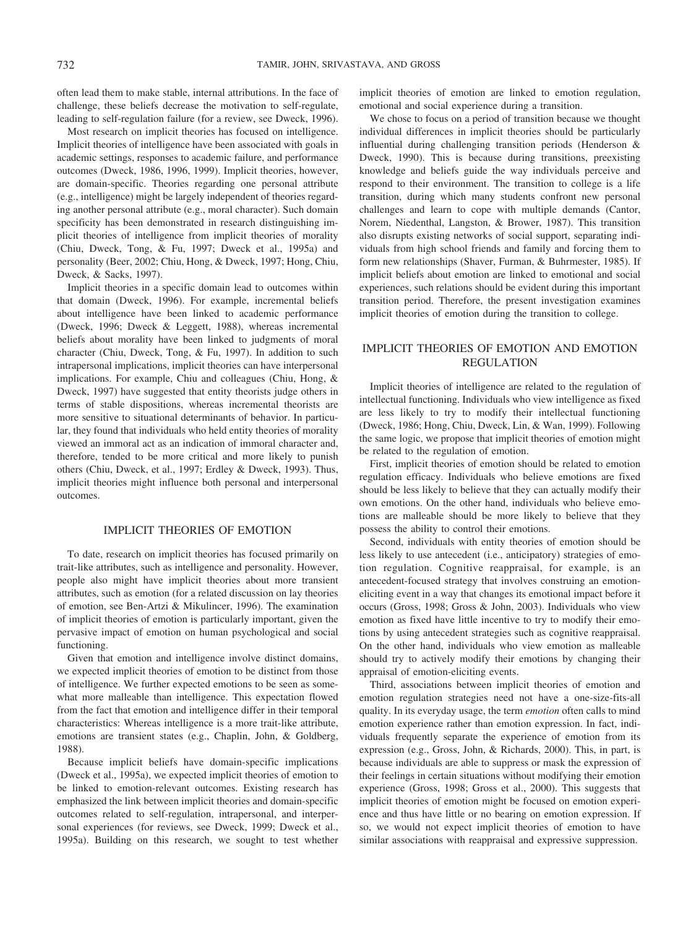often lead them to make stable, internal attributions. In the face of challenge, these beliefs decrease the motivation to self-regulate, leading to self-regulation failure (for a review, see Dweck, 1996).

Most research on implicit theories has focused on intelligence. Implicit theories of intelligence have been associated with goals in academic settings, responses to academic failure, and performance outcomes (Dweck, 1986, 1996, 1999). Implicit theories, however, are domain-specific. Theories regarding one personal attribute (e.g., intelligence) might be largely independent of theories regarding another personal attribute (e.g., moral character). Such domain specificity has been demonstrated in research distinguishing implicit theories of intelligence from implicit theories of morality (Chiu, Dweck, Tong, & Fu, 1997; Dweck et al., 1995a) and personality (Beer, 2002; Chiu, Hong, & Dweck, 1997; Hong, Chiu, Dweck, & Sacks, 1997).

Implicit theories in a specific domain lead to outcomes within that domain (Dweck, 1996). For example, incremental beliefs about intelligence have been linked to academic performance (Dweck, 1996; Dweck & Leggett, 1988), whereas incremental beliefs about morality have been linked to judgments of moral character (Chiu, Dweck, Tong, & Fu, 1997). In addition to such intrapersonal implications, implicit theories can have interpersonal implications. For example, Chiu and colleagues (Chiu, Hong, & Dweck, 1997) have suggested that entity theorists judge others in terms of stable dispositions, whereas incremental theorists are more sensitive to situational determinants of behavior. In particular, they found that individuals who held entity theories of morality viewed an immoral act as an indication of immoral character and, therefore, tended to be more critical and more likely to punish others (Chiu, Dweck, et al., 1997; Erdley & Dweck, 1993). Thus, implicit theories might influence both personal and interpersonal outcomes.

## IMPLICIT THEORIES OF EMOTION

To date, research on implicit theories has focused primarily on trait-like attributes, such as intelligence and personality. However, people also might have implicit theories about more transient attributes, such as emotion (for a related discussion on lay theories of emotion, see Ben-Artzi & Mikulincer, 1996). The examination of implicit theories of emotion is particularly important, given the pervasive impact of emotion on human psychological and social functioning.

Given that emotion and intelligence involve distinct domains, we expected implicit theories of emotion to be distinct from those of intelligence. We further expected emotions to be seen as somewhat more malleable than intelligence. This expectation flowed from the fact that emotion and intelligence differ in their temporal characteristics: Whereas intelligence is a more trait-like attribute, emotions are transient states (e.g., Chaplin, John, & Goldberg, 1988).

Because implicit beliefs have domain-specific implications (Dweck et al., 1995a), we expected implicit theories of emotion to be linked to emotion-relevant outcomes. Existing research has emphasized the link between implicit theories and domain-specific outcomes related to self-regulation, intrapersonal, and interpersonal experiences (for reviews, see Dweck, 1999; Dweck et al., 1995a). Building on this research, we sought to test whether implicit theories of emotion are linked to emotion regulation, emotional and social experience during a transition.

We chose to focus on a period of transition because we thought individual differences in implicit theories should be particularly influential during challenging transition periods (Henderson & Dweck, 1990). This is because during transitions, preexisting knowledge and beliefs guide the way individuals perceive and respond to their environment. The transition to college is a life transition, during which many students confront new personal challenges and learn to cope with multiple demands (Cantor, Norem, Niedenthal, Langston, & Brower, 1987). This transition also disrupts existing networks of social support, separating individuals from high school friends and family and forcing them to form new relationships (Shaver, Furman, & Buhrmester, 1985). If implicit beliefs about emotion are linked to emotional and social experiences, such relations should be evident during this important transition period. Therefore, the present investigation examines implicit theories of emotion during the transition to college.

# IMPLICIT THEORIES OF EMOTION AND EMOTION REGULATION

Implicit theories of intelligence are related to the regulation of intellectual functioning. Individuals who view intelligence as fixed are less likely to try to modify their intellectual functioning (Dweck, 1986; Hong, Chiu, Dweck, Lin, & Wan, 1999). Following the same logic, we propose that implicit theories of emotion might be related to the regulation of emotion.

First, implicit theories of emotion should be related to emotion regulation efficacy. Individuals who believe emotions are fixed should be less likely to believe that they can actually modify their own emotions. On the other hand, individuals who believe emotions are malleable should be more likely to believe that they possess the ability to control their emotions.

Second, individuals with entity theories of emotion should be less likely to use antecedent (i.e., anticipatory) strategies of emotion regulation. Cognitive reappraisal, for example, is an antecedent-focused strategy that involves construing an emotioneliciting event in a way that changes its emotional impact before it occurs (Gross, 1998; Gross & John, 2003). Individuals who view emotion as fixed have little incentive to try to modify their emotions by using antecedent strategies such as cognitive reappraisal. On the other hand, individuals who view emotion as malleable should try to actively modify their emotions by changing their appraisal of emotion-eliciting events.

Third, associations between implicit theories of emotion and emotion regulation strategies need not have a one-size-fits-all quality. In its everyday usage, the term *emotion* often calls to mind emotion experience rather than emotion expression. In fact, individuals frequently separate the experience of emotion from its expression (e.g., Gross, John, & Richards, 2000). This, in part, is because individuals are able to suppress or mask the expression of their feelings in certain situations without modifying their emotion experience (Gross, 1998; Gross et al., 2000). This suggests that implicit theories of emotion might be focused on emotion experience and thus have little or no bearing on emotion expression. If so, we would not expect implicit theories of emotion to have similar associations with reappraisal and expressive suppression.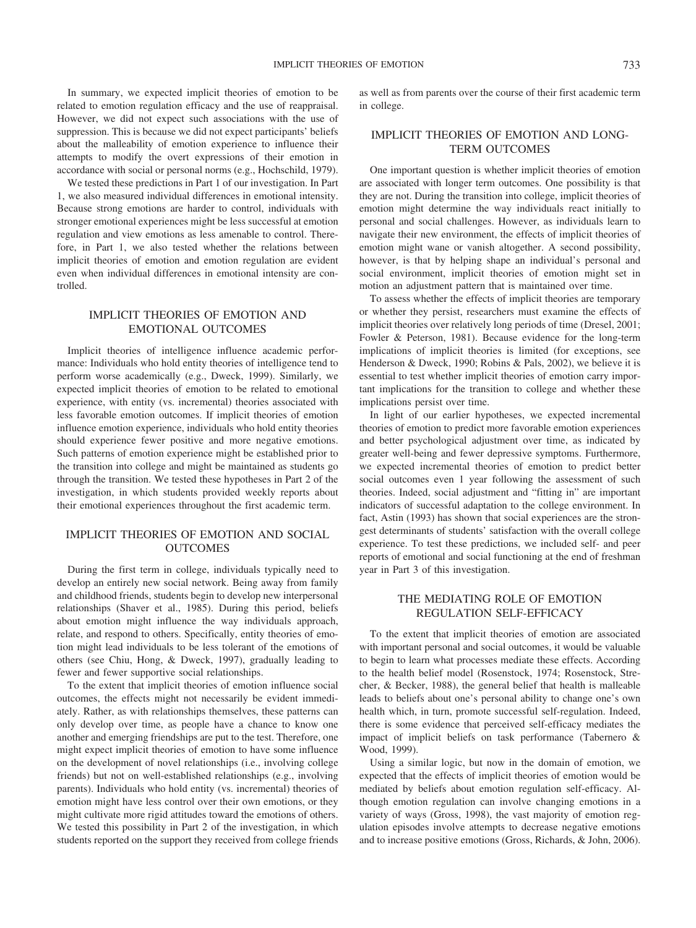In summary, we expected implicit theories of emotion to be related to emotion regulation efficacy and the use of reappraisal. However, we did not expect such associations with the use of suppression. This is because we did not expect participants' beliefs about the malleability of emotion experience to influence their attempts to modify the overt expressions of their emotion in accordance with social or personal norms (e.g., Hochschild, 1979).

We tested these predictions in Part 1 of our investigation. In Part 1, we also measured individual differences in emotional intensity. Because strong emotions are harder to control, individuals with stronger emotional experiences might be less successful at emotion regulation and view emotions as less amenable to control. Therefore, in Part 1, we also tested whether the relations between implicit theories of emotion and emotion regulation are evident even when individual differences in emotional intensity are controlled.

# IMPLICIT THEORIES OF EMOTION AND EMOTIONAL OUTCOMES

Implicit theories of intelligence influence academic performance: Individuals who hold entity theories of intelligence tend to perform worse academically (e.g., Dweck, 1999). Similarly, we expected implicit theories of emotion to be related to emotional experience, with entity (vs. incremental) theories associated with less favorable emotion outcomes. If implicit theories of emotion influence emotion experience, individuals who hold entity theories should experience fewer positive and more negative emotions. Such patterns of emotion experience might be established prior to the transition into college and might be maintained as students go through the transition. We tested these hypotheses in Part 2 of the investigation, in which students provided weekly reports about their emotional experiences throughout the first academic term.

# IMPLICIT THEORIES OF EMOTION AND SOCIAL **OUTCOMES**

During the first term in college, individuals typically need to develop an entirely new social network. Being away from family and childhood friends, students begin to develop new interpersonal relationships (Shaver et al., 1985). During this period, beliefs about emotion might influence the way individuals approach, relate, and respond to others. Specifically, entity theories of emotion might lead individuals to be less tolerant of the emotions of others (see Chiu, Hong, & Dweck, 1997), gradually leading to fewer and fewer supportive social relationships.

To the extent that implicit theories of emotion influence social outcomes, the effects might not necessarily be evident immediately. Rather, as with relationships themselves, these patterns can only develop over time, as people have a chance to know one another and emerging friendships are put to the test. Therefore, one might expect implicit theories of emotion to have some influence on the development of novel relationships (i.e., involving college friends) but not on well-established relationships (e.g., involving parents). Individuals who hold entity (vs. incremental) theories of emotion might have less control over their own emotions, or they might cultivate more rigid attitudes toward the emotions of others. We tested this possibility in Part 2 of the investigation, in which students reported on the support they received from college friends

as well as from parents over the course of their first academic term in college.

# IMPLICIT THEORIES OF EMOTION AND LONG-TERM OUTCOMES

One important question is whether implicit theories of emotion are associated with longer term outcomes. One possibility is that they are not. During the transition into college, implicit theories of emotion might determine the way individuals react initially to personal and social challenges. However, as individuals learn to navigate their new environment, the effects of implicit theories of emotion might wane or vanish altogether. A second possibility, however, is that by helping shape an individual's personal and social environment, implicit theories of emotion might set in motion an adjustment pattern that is maintained over time.

To assess whether the effects of implicit theories are temporary or whether they persist, researchers must examine the effects of implicit theories over relatively long periods of time (Dresel, 2001; Fowler & Peterson, 1981). Because evidence for the long-term implications of implicit theories is limited (for exceptions, see Henderson & Dweck, 1990; Robins & Pals, 2002), we believe it is essential to test whether implicit theories of emotion carry important implications for the transition to college and whether these implications persist over time.

In light of our earlier hypotheses, we expected incremental theories of emotion to predict more favorable emotion experiences and better psychological adjustment over time, as indicated by greater well-being and fewer depressive symptoms. Furthermore, we expected incremental theories of emotion to predict better social outcomes even 1 year following the assessment of such theories. Indeed, social adjustment and "fitting in" are important indicators of successful adaptation to the college environment. In fact, Astin (1993) has shown that social experiences are the strongest determinants of students' satisfaction with the overall college experience. To test these predictions, we included self- and peer reports of emotional and social functioning at the end of freshman year in Part 3 of this investigation.

# THE MEDIATING ROLE OF EMOTION REGULATION SELF-EFFICACY

To the extent that implicit theories of emotion are associated with important personal and social outcomes, it would be valuable to begin to learn what processes mediate these effects. According to the health belief model (Rosenstock, 1974; Rosenstock, Strecher, & Becker, 1988), the general belief that health is malleable leads to beliefs about one's personal ability to change one's own health which, in turn, promote successful self-regulation. Indeed, there is some evidence that perceived self-efficacy mediates the impact of implicit beliefs on task performance (Tabernero & Wood, 1999).

Using a similar logic, but now in the domain of emotion, we expected that the effects of implicit theories of emotion would be mediated by beliefs about emotion regulation self-efficacy. Although emotion regulation can involve changing emotions in a variety of ways (Gross, 1998), the vast majority of emotion regulation episodes involve attempts to decrease negative emotions and to increase positive emotions (Gross, Richards, & John, 2006).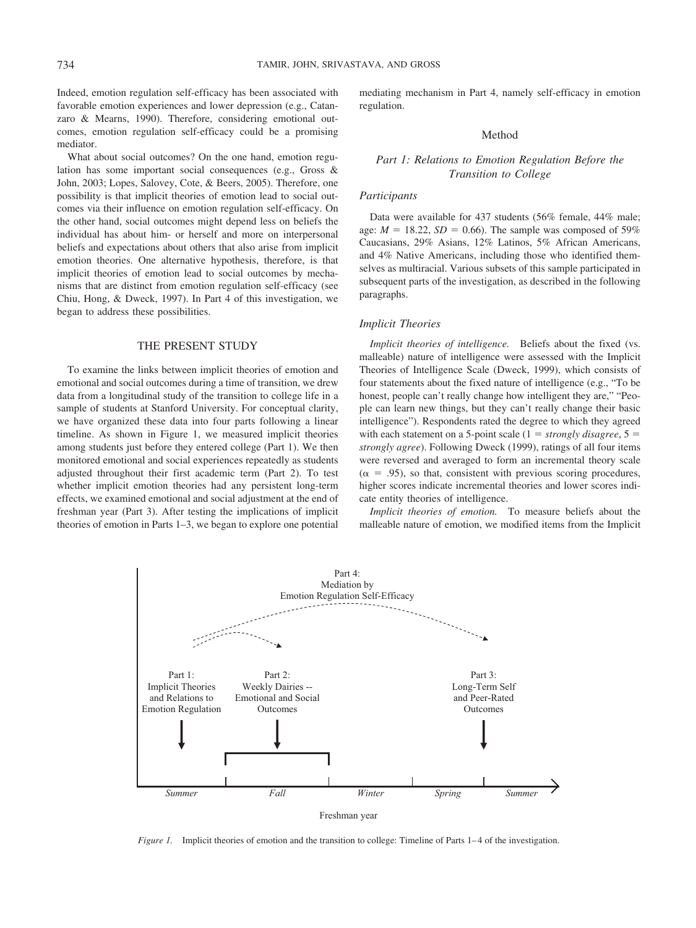Indeed, emotion regulation self-efficacy has been associated with favorable emotion experiences and lower depression (e.g., Catanzaro & Mearns, 1990). Therefore, considering emotional outcomes, emotion regulation self-efficacy could be a promising mediator.

What about social outcomes? On the one hand, emotion regulation has some important social consequences (e.g., Gross & John, 2003; Lopes, Salovey, Cote, & Beers, 2005). Therefore, one possibility is that implicit theories of emotion lead to social outcomes via their influence on emotion regulation self-efficacy. On the other hand, social outcomes might depend less on beliefs the individual has about him- or herself and more on interpersonal beliefs and expectations about others that also arise from implicit emotion theories. One alternative hypothesis, therefore, is that implicit theories of emotion lead to social outcomes by mechanisms that are distinct from emotion regulation self-efficacy (see Chiu, Hong, & Dweck, 1997). In Part 4 of this investigation, we began to address these possibilities.

#### THE PRESENT STUDY

To examine the links between implicit theories of emotion and emotional and social outcomes during a time of transition, we drew data from a longitudinal study of the transition to college life in a sample of students at Stanford University. For conceptual clarity, we have organized these data into four parts following a linear timeline. As shown in Figure 1, we measured implicit theories among students just before they entered college (Part 1). We then monitored emotional and social experiences repeatedly as students adjusted throughout their first academic term (Part 2). To test whether implicit emotion theories had any persistent long-term effects, we examined emotional and social adjustment at the end of freshman year (Part 3). After testing the implications of implicit theories of emotion in Parts 1–3, we began to explore one potential mediating mechanism in Part 4, namely self-efficacy in emotion regulation.

## Method

## *Part 1: Relations to Emotion Regulation Before the Transition to College*

#### *Participants*

Data were available for 437 students (56% female, 44% male; age:  $M = 18.22$ ,  $SD = 0.66$ ). The sample was composed of 59% Caucasians, 29% Asians, 12% Latinos, 5% African Americans, and 4% Native Americans, including those who identified themselves as multiracial. Various subsets of this sample participated in subsequent parts of the investigation, as described in the following paragraphs.

#### *Implicit Theories*

*Implicit theories of intelligence.* Beliefs about the fixed (vs. malleable) nature of intelligence were assessed with the Implicit Theories of Intelligence Scale (Dweck, 1999), which consists of four statements about the fixed nature of intelligence (e.g., "To be honest, people can't really change how intelligent they are," "People can learn new things, but they can't really change their basic intelligence"). Respondents rated the degree to which they agreed with each statement on a 5-point scale  $(1 = strongly \, disagree, 5 =$ *strongly agree*). Following Dweck (1999), ratings of all four items were reversed and averaged to form an incremental theory scale  $(\alpha = .95)$ , so that, consistent with previous scoring procedures, higher scores indicate incremental theories and lower scores indicate entity theories of intelligence.

*Implicit theories of emotion.* To measure beliefs about the malleable nature of emotion, we modified items from the Implicit



*Figure 1.* Implicit theories of emotion and the transition to college: Timeline of Parts 1–4 of the investigation.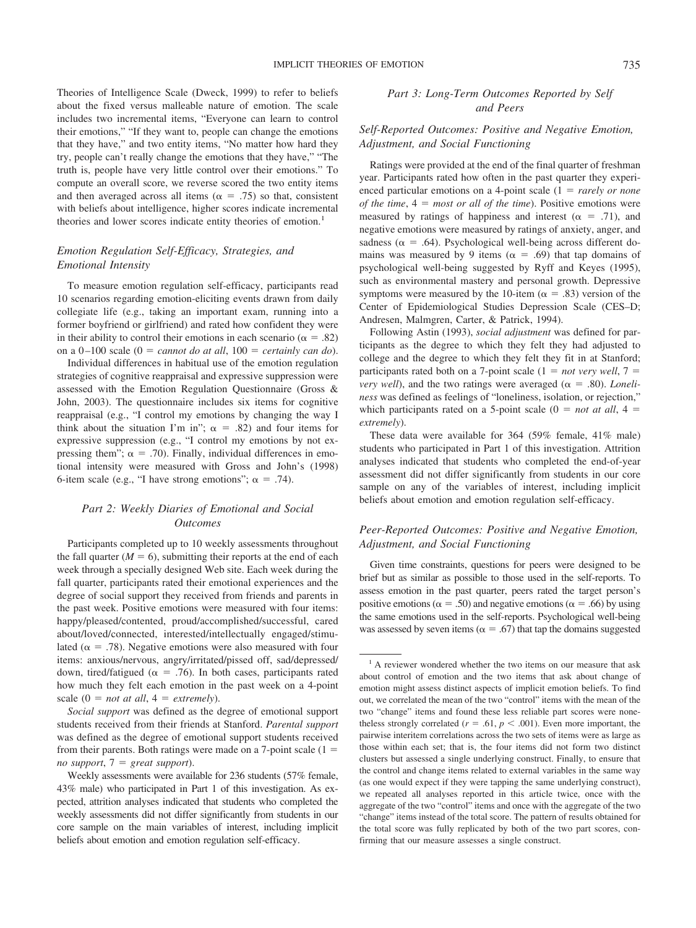Theories of Intelligence Scale (Dweck, 1999) to refer to beliefs about the fixed versus malleable nature of emotion. The scale includes two incremental items, "Everyone can learn to control their emotions," "If they want to, people can change the emotions that they have," and two entity items, "No matter how hard they try, people can't really change the emotions that they have," "The truth is, people have very little control over their emotions." To compute an overall score, we reverse scored the two entity items and then averaged across all items ( $\alpha = .75$ ) so that, consistent with beliefs about intelligence, higher scores indicate incremental theories and lower scores indicate entity theories of emotion.<sup>1</sup>

# *Emotion Regulation Self-Efficacy, Strategies, and Emotional Intensity*

To measure emotion regulation self-efficacy, participants read 10 scenarios regarding emotion-eliciting events drawn from daily collegiate life (e.g., taking an important exam, running into a former boyfriend or girlfriend) and rated how confident they were in their ability to control their emotions in each scenario ( $\alpha = .82$ ) on a  $0-100$  scale ( $0 = cannot do at all, 100 = certainly can do$ ).

Individual differences in habitual use of the emotion regulation strategies of cognitive reappraisal and expressive suppression were assessed with the Emotion Regulation Questionnaire (Gross & John, 2003). The questionnaire includes six items for cognitive reappraisal (e.g., "I control my emotions by changing the way I think about the situation I'm in";  $\alpha = .82$ ) and four items for expressive suppression (e.g., "I control my emotions by not expressing them";  $\alpha = .70$ ). Finally, individual differences in emotional intensity were measured with Gross and John's (1998) 6-item scale (e.g., "I have strong emotions";  $\alpha = .74$ ).

# *Part 2: Weekly Diaries of Emotional and Social Outcomes*

Participants completed up to 10 weekly assessments throughout the fall quarter  $(M = 6)$ , submitting their reports at the end of each week through a specially designed Web site. Each week during the fall quarter, participants rated their emotional experiences and the degree of social support they received from friends and parents in the past week. Positive emotions were measured with four items: happy/pleased/contented, proud/accomplished/successful, cared about/loved/connected, interested/intellectually engaged/stimulated ( $\alpha = .78$ ). Negative emotions were also measured with four items: anxious/nervous, angry/irritated/pissed off, sad/depressed/ down, tired/fatigued ( $\alpha = .76$ ). In both cases, participants rated how much they felt each emotion in the past week on a 4-point scale  $(0 = not at all, 4 = extremely)$ .

*Social support* was defined as the degree of emotional support students received from their friends at Stanford. *Parental support* was defined as the degree of emotional support students received from their parents. Both ratings were made on a 7-point scale  $(1 =$ *no support*, 7 *great support*).

Weekly assessments were available for 236 students (57% female, 43% male) who participated in Part 1 of this investigation. As expected, attrition analyses indicated that students who completed the weekly assessments did not differ significantly from students in our core sample on the main variables of interest, including implicit beliefs about emotion and emotion regulation self-efficacy.

# *Part 3: Long-Term Outcomes Reported by Self and Peers*

# *Self-Reported Outcomes: Positive and Negative Emotion, Adjustment, and Social Functioning*

Ratings were provided at the end of the final quarter of freshman year. Participants rated how often in the past quarter they experienced particular emotions on a 4-point scale (1 = *rarely or none of the time*,  $4 = most or all of the time$ . Positive emotions were measured by ratings of happiness and interest ( $\alpha = .71$ ), and negative emotions were measured by ratings of anxiety, anger, and sadness ( $\alpha$  = .64). Psychological well-being across different domains was measured by 9 items ( $\alpha = .69$ ) that tap domains of psychological well-being suggested by Ryff and Keyes (1995), such as environmental mastery and personal growth. Depressive symptoms were measured by the 10-item ( $\alpha = .83$ ) version of the Center of Epidemiological Studies Depression Scale (CES–D; Andresen, Malmgren, Carter, & Patrick, 1994).

Following Astin (1993), *social adjustment* was defined for participants as the degree to which they felt they had adjusted to college and the degree to which they felt they fit in at Stanford; participants rated both on a 7-point scale  $(1 = not very well, 7 = 1)$ *very well*), and the two ratings were averaged ( $\alpha = .80$ ). *Loneliness* was defined as feelings of "loneliness, isolation, or rejection," which participants rated on a 5-point scale  $(0 = not at all, 4 = 1)$ *extremely*).

These data were available for 364 (59% female, 41% male) students who participated in Part 1 of this investigation. Attrition analyses indicated that students who completed the end-of-year assessment did not differ significantly from students in our core sample on any of the variables of interest, including implicit beliefs about emotion and emotion regulation self-efficacy.

# *Peer-Reported Outcomes: Positive and Negative Emotion, Adjustment, and Social Functioning*

Given time constraints, questions for peers were designed to be brief but as similar as possible to those used in the self-reports. To assess emotion in the past quarter, peers rated the target person's positive emotions ( $\alpha = .50$ ) and negative emotions ( $\alpha = .66$ ) by using the same emotions used in the self-reports. Psychological well-being was assessed by seven items ( $\alpha = .67$ ) that tap the domains suggested

<sup>&</sup>lt;sup>1</sup> A reviewer wondered whether the two items on our measure that ask about control of emotion and the two items that ask about change of emotion might assess distinct aspects of implicit emotion beliefs. To find out, we correlated the mean of the two "control" items with the mean of the two "change" items and found these less reliable part scores were nonetheless strongly correlated ( $r = .61$ ,  $p < .001$ ). Even more important, the pairwise interitem correlations across the two sets of items were as large as those within each set; that is, the four items did not form two distinct clusters but assessed a single underlying construct. Finally, to ensure that the control and change items related to external variables in the same way (as one would expect if they were tapping the same underlying construct), we repeated all analyses reported in this article twice, once with the aggregate of the two "control" items and once with the aggregate of the two "change" items instead of the total score. The pattern of results obtained for the total score was fully replicated by both of the two part scores, confirming that our measure assesses a single construct.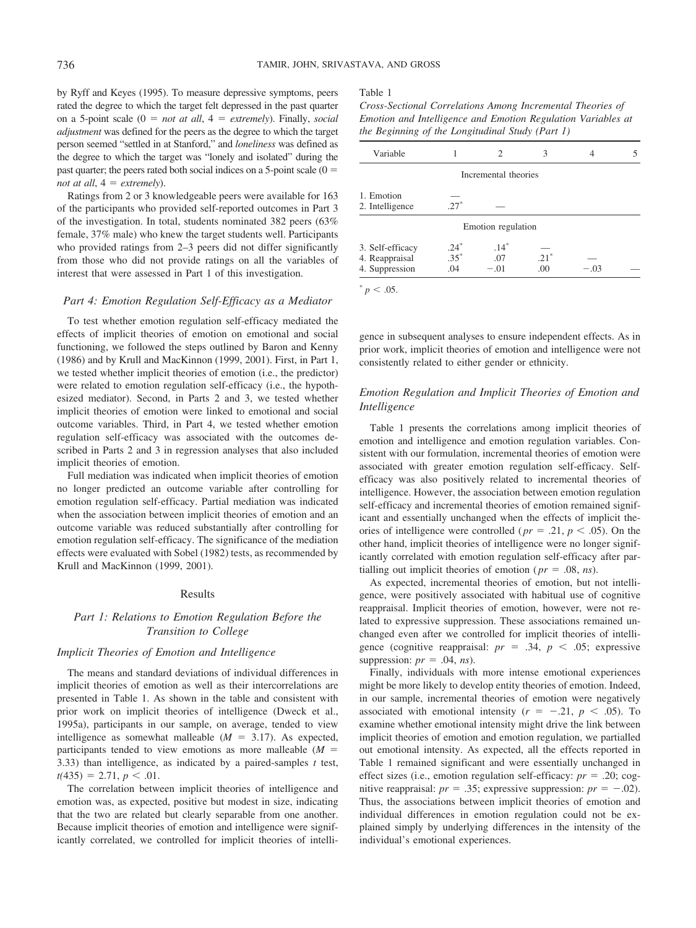by Ryff and Keyes (1995). To measure depressive symptoms, peers rated the degree to which the target felt depressed in the past quarter on a 5-point scale  $(0 = not at all, 4 = extremely)$ . Finally, *social adjustment* was defined for the peers as the degree to which the target person seemed "settled in at Stanford," and *loneliness* was defined as the degree to which the target was "lonely and isolated" during the past quarter; the peers rated both social indices on a 5-point scale  $(0 =$ *not at all,*  $4 =$  *extremely*).

Ratings from 2 or 3 knowledgeable peers were available for 163 of the participants who provided self-reported outcomes in Part 3 of the investigation. In total, students nominated 382 peers (63% female, 37% male) who knew the target students well. Participants who provided ratings from 2–3 peers did not differ significantly from those who did not provide ratings on all the variables of interest that were assessed in Part 1 of this investigation.

## *Part 4: Emotion Regulation Self-Efficacy as a Mediator*

To test whether emotion regulation self-efficacy mediated the effects of implicit theories of emotion on emotional and social functioning, we followed the steps outlined by Baron and Kenny (1986) and by Krull and MacKinnon (1999, 2001). First, in Part 1, we tested whether implicit theories of emotion (i.e., the predictor) were related to emotion regulation self-efficacy (i.e., the hypothesized mediator). Second, in Parts 2 and 3, we tested whether implicit theories of emotion were linked to emotional and social outcome variables. Third, in Part 4, we tested whether emotion regulation self-efficacy was associated with the outcomes described in Parts 2 and 3 in regression analyses that also included implicit theories of emotion.

Full mediation was indicated when implicit theories of emotion no longer predicted an outcome variable after controlling for emotion regulation self-efficacy. Partial mediation was indicated when the association between implicit theories of emotion and an outcome variable was reduced substantially after controlling for emotion regulation self-efficacy. The significance of the mediation effects were evaluated with Sobel (1982) tests, as recommended by Krull and MacKinnon (1999, 2001).

#### Results

# *Part 1: Relations to Emotion Regulation Before the Transition to College*

## *Implicit Theories of Emotion and Intelligence*

The means and standard deviations of individual differences in implicit theories of emotion as well as their intercorrelations are presented in Table 1. As shown in the table and consistent with prior work on implicit theories of intelligence (Dweck et al., 1995a), participants in our sample, on average, tended to view intelligence as somewhat malleable  $(M = 3.17)$ . As expected, participants tended to view emotions as more malleable (*M* 3.33) than intelligence, as indicated by a paired-samples *t* test,  $t(435) = 2.71, p < .01.$ 

The correlation between implicit theories of intelligence and emotion was, as expected, positive but modest in size, indicating that the two are related but clearly separable from one another. Because implicit theories of emotion and intelligence were significantly correlated, we controlled for implicit theories of intelli-

#### Table 1

*Cross-Sectional Correlations Among Incremental Theories of Emotion and Intelligence and Emotion Regulation Variables at the Beginning of the Longitudinal Study (Part 1)*

| Variable                                             |                         | 2                       | 3             | 4      | 5 |
|------------------------------------------------------|-------------------------|-------------------------|---------------|--------|---|
|                                                      |                         | Incremental theories    |               |        |   |
| 1. Emotion<br>2. Intelligence                        | $27^*$                  |                         |               |        |   |
|                                                      |                         | Emotion regulation      |               |        |   |
| 3. Self-efficacy<br>4. Reappraisal<br>4. Suppression | $.24*$<br>$.35*$<br>.04 | $.14*$<br>.07<br>$-.01$ | $.21*$<br>.00 | $-.03$ |   |
| $< 0.05$ .                                           |                         |                         |               |        |   |

gence in subsequent analyses to ensure independent effects. As in prior work, implicit theories of emotion and intelligence were not consistently related to either gender or ethnicity.

# *Emotion Regulation and Implicit Theories of Emotion and Intelligence*

Table 1 presents the correlations among implicit theories of emotion and intelligence and emotion regulation variables. Consistent with our formulation, incremental theories of emotion were associated with greater emotion regulation self-efficacy. Selfefficacy was also positively related to incremental theories of intelligence. However, the association between emotion regulation self-efficacy and incremental theories of emotion remained significant and essentially unchanged when the effects of implicit theories of intelligence were controlled ( $pr = .21$ ,  $p < .05$ ). On the other hand, implicit theories of intelligence were no longer significantly correlated with emotion regulation self-efficacy after partialling out implicit theories of emotion ( $pr = .08$ , *ns*).

As expected, incremental theories of emotion, but not intelligence, were positively associated with habitual use of cognitive reappraisal. Implicit theories of emotion, however, were not related to expressive suppression. These associations remained unchanged even after we controlled for implicit theories of intelligence (cognitive reappraisal:  $pr = .34$ ,  $p < .05$ ; expressive suppression:  $pr = .04$ , *ns*).

Finally, individuals with more intense emotional experiences might be more likely to develop entity theories of emotion. Indeed, in our sample, incremental theories of emotion were negatively associated with emotional intensity  $(r = -.21, p < .05)$ . To examine whether emotional intensity might drive the link between implicit theories of emotion and emotion regulation, we partialled out emotional intensity. As expected, all the effects reported in Table 1 remained significant and were essentially unchanged in effect sizes (i.e., emotion regulation self-efficacy:  $pr = .20$ ; cognitive reappraisal:  $pr = .35$ ; expressive suppression:  $pr = -.02$ ). Thus, the associations between implicit theories of emotion and individual differences in emotion regulation could not be explained simply by underlying differences in the intensity of the individual's emotional experiences.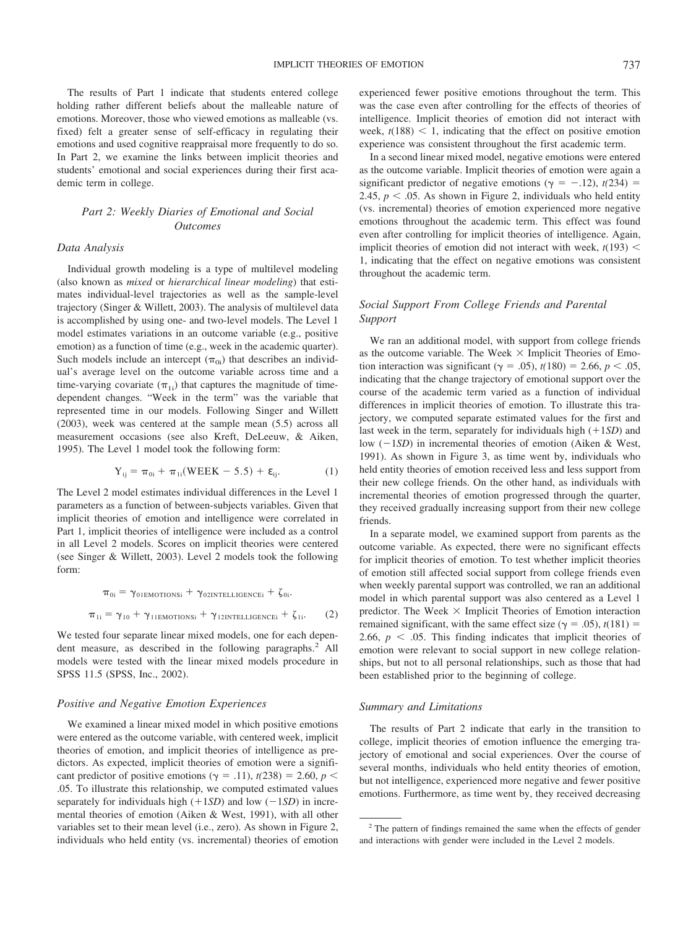The results of Part 1 indicate that students entered college holding rather different beliefs about the malleable nature of emotions. Moreover, those who viewed emotions as malleable (vs. fixed) felt a greater sense of self-efficacy in regulating their emotions and used cognitive reappraisal more frequently to do so. In Part 2, we examine the links between implicit theories and students' emotional and social experiences during their first academic term in college.

# *Part 2: Weekly Diaries of Emotional and Social Outcomes*

## *Data Analysis*

Individual growth modeling is a type of multilevel modeling (also known as *mixed* or *hierarchical linear modeling*) that estimates individual-level trajectories as well as the sample-level trajectory (Singer & Willett, 2003). The analysis of multilevel data is accomplished by using one- and two-level models. The Level 1 model estimates variations in an outcome variable (e.g., positive emotion) as a function of time (e.g., week in the academic quarter). Such models include an intercept  $(\pi_{0i})$  that describes an individual's average level on the outcome variable across time and a time-varying covariate  $(\pi_{1i})$  that captures the magnitude of timedependent changes. "Week in the term" was the variable that represented time in our models. Following Singer and Willett (2003), week was centered at the sample mean (5.5) across all measurement occasions (see also Kreft, DeLeeuw, & Aiken, 1995). The Level 1 model took the following form:

$$
Y_{ij} = \pi_{0i} + \pi_{1i} (WEEK - 5.5) + \varepsilon_{ij}.
$$
 (1)

The Level 2 model estimates individual differences in the Level 1 parameters as a function of between-subjects variables. Given that implicit theories of emotion and intelligence were correlated in Part 1, implicit theories of intelligence were included as a control in all Level 2 models. Scores on implicit theories were centered (see Singer & Willett, 2003). Level 2 models took the following form:

$$
\pi_{0i} = \gamma_{01EMOTIONSi} + \gamma_{02INTELIGENCEi} + \zeta_{0i}.
$$

$$
\pi_{1i} = \gamma_{10} + \gamma_{11EMOTIONSi} + \gamma_{12INTELIGENCEi} + \zeta_{1i}.
$$
 (2)

We tested four separate linear mixed models, one for each dependent measure, as described in the following paragraphs.<sup>2</sup> All models were tested with the linear mixed models procedure in SPSS 11.5 (SPSS, Inc., 2002).

### *Positive and Negative Emotion Experiences*

We examined a linear mixed model in which positive emotions were entered as the outcome variable, with centered week, implicit theories of emotion, and implicit theories of intelligence as predictors. As expected, implicit theories of emotion were a significant predictor of positive emotions ( $\gamma = .11$ ),  $t(238) = 2.60$ ,  $p <$ .05. To illustrate this relationship, we computed estimated values separately for individuals high  $(+1SD)$  and low  $(-1SD)$  in incremental theories of emotion (Aiken & West, 1991), with all other variables set to their mean level (i.e., zero). As shown in Figure 2, individuals who held entity (vs. incremental) theories of emotion experienced fewer positive emotions throughout the term. This was the case even after controlling for the effects of theories of intelligence. Implicit theories of emotion did not interact with week,  $t(188) < 1$ , indicating that the effect on positive emotion experience was consistent throughout the first academic term.

In a second linear mixed model, negative emotions were entered as the outcome variable. Implicit theories of emotion were again a significant predictor of negative emotions ( $\gamma = -.12$ ),  $t(234) =$ 2.45,  $p < .05$ . As shown in Figure 2, individuals who held entity (vs. incremental) theories of emotion experienced more negative emotions throughout the academic term. This effect was found even after controlling for implicit theories of intelligence. Again, implicit theories of emotion did not interact with week,  $t(193)$  < 1, indicating that the effect on negative emotions was consistent throughout the academic term.

# *Social Support From College Friends and Parental Support*

We ran an additional model, with support from college friends as the outcome variable. The Week  $\times$  Implicit Theories of Emotion interaction was significant ( $\gamma = .05$ ), *t*(180) = 2.66, *p* < .05, indicating that the change trajectory of emotional support over the course of the academic term varied as a function of individual differences in implicit theories of emotion. To illustrate this trajectory, we computed separate estimated values for the first and last week in the term, separately for individuals high ( 1*SD*) and low  $(-1SD)$  in incremental theories of emotion (Aiken & West, 1991). As shown in Figure 3, as time went by, individuals who held entity theories of emotion received less and less support from their new college friends. On the other hand, as individuals with incremental theories of emotion progressed through the quarter, they received gradually increasing support from their new college friends.

In a separate model, we examined support from parents as the outcome variable. As expected, there were no significant effects for implicit theories of emotion. To test whether implicit theories of emotion still affected social support from college friends even when weekly parental support was controlled, we ran an additional model in which parental support was also centered as a Level 1 predictor. The Week  $\times$  Implicit Theories of Emotion interaction remained significant, with the same effect size ( $\gamma = .05$ ),  $t(181) =$ 2.66,  $p < .05$ . This finding indicates that implicit theories of emotion were relevant to social support in new college relationships, but not to all personal relationships, such as those that had been established prior to the beginning of college.

## *Summary and Limitations*

The results of Part 2 indicate that early in the transition to college, implicit theories of emotion influence the emerging trajectory of emotional and social experiences. Over the course of several months, individuals who held entity theories of emotion, but not intelligence, experienced more negative and fewer positive emotions. Furthermore, as time went by, they received decreasing

<sup>&</sup>lt;sup>2</sup> The pattern of findings remained the same when the effects of gender and interactions with gender were included in the Level 2 models.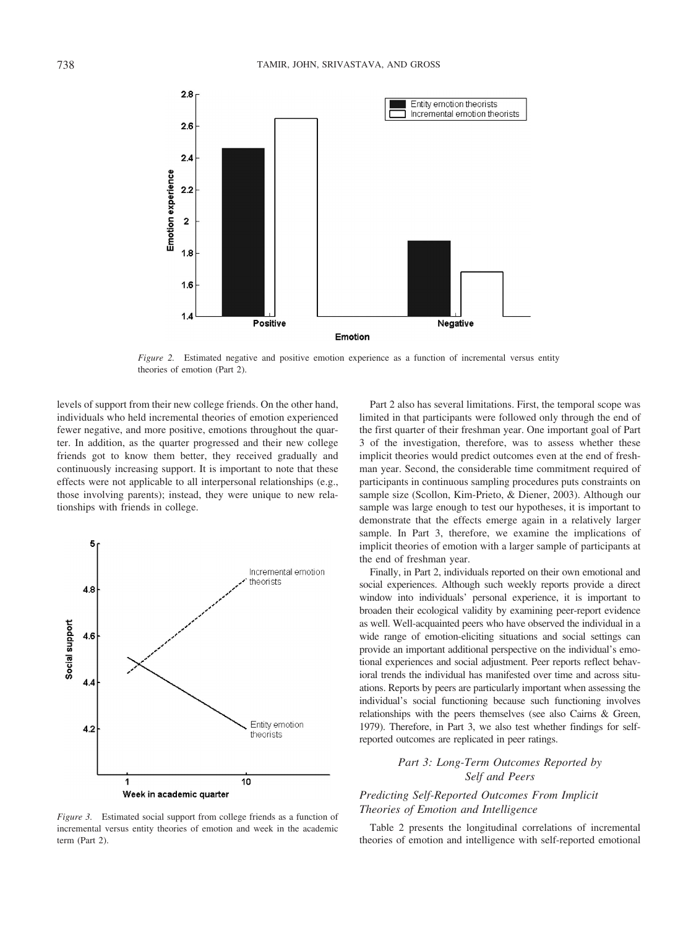

*Figure 2.* Estimated negative and positive emotion experience as a function of incremental versus entity theories of emotion (Part 2).

levels of support from their new college friends. On the other hand, individuals who held incremental theories of emotion experienced fewer negative, and more positive, emotions throughout the quarter. In addition, as the quarter progressed and their new college friends got to know them better, they received gradually and continuously increasing support. It is important to note that these effects were not applicable to all interpersonal relationships (e.g., those involving parents); instead, they were unique to new relationships with friends in college.



*Figure 3.* Estimated social support from college friends as a function of incremental versus entity theories of emotion and week in the academic term (Part 2).

Part 2 also has several limitations. First, the temporal scope was limited in that participants were followed only through the end of the first quarter of their freshman year. One important goal of Part 3 of the investigation, therefore, was to assess whether these implicit theories would predict outcomes even at the end of freshman year. Second, the considerable time commitment required of participants in continuous sampling procedures puts constraints on sample size (Scollon, Kim-Prieto, & Diener, 2003). Although our sample was large enough to test our hypotheses, it is important to demonstrate that the effects emerge again in a relatively larger sample. In Part 3, therefore, we examine the implications of implicit theories of emotion with a larger sample of participants at the end of freshman year.

Finally, in Part 2, individuals reported on their own emotional and social experiences. Although such weekly reports provide a direct window into individuals' personal experience, it is important to broaden their ecological validity by examining peer-report evidence as well. Well-acquainted peers who have observed the individual in a wide range of emotion-eliciting situations and social settings can provide an important additional perspective on the individual's emotional experiences and social adjustment. Peer reports reflect behavioral trends the individual has manifested over time and across situations. Reports by peers are particularly important when assessing the individual's social functioning because such functioning involves relationships with the peers themselves (see also Cairns & Green, 1979). Therefore, in Part 3, we also test whether findings for selfreported outcomes are replicated in peer ratings.

# *Part 3: Long-Term Outcomes Reported by Self and Peers*

# *Predicting Self-Reported Outcomes From Implicit Theories of Emotion and Intelligence*

Table 2 presents the longitudinal correlations of incremental theories of emotion and intelligence with self-reported emotional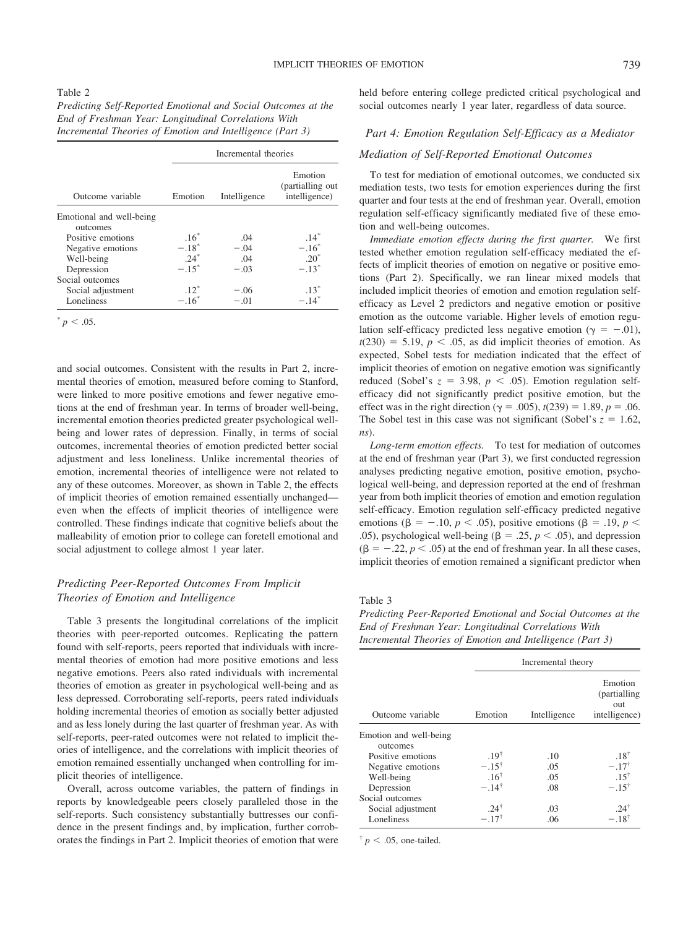#### Table 2

| Predicting Self-Reported Emotional and Social Outcomes at the |
|---------------------------------------------------------------|
| End of Freshman Year: Longitudinal Correlations With          |
| Incremental Theories of Emotion and Intelligence (Part 3)     |

|                          | Incremental theories |              |                                              |  |
|--------------------------|----------------------|--------------|----------------------------------------------|--|
| Outcome variable         | Emotion              | Intelligence | Emotion<br>(partialling out<br>intelligence) |  |
| Emotional and well-being |                      |              |                                              |  |
| outcomes                 |                      |              |                                              |  |
| Positive emotions        | $.16*$               | .04          | $.14*$                                       |  |
| Negative emotions        | $-.18*$              | $-.04$       | $-.16^*$                                     |  |
| Well-being               | $24^*$               | 04           | $.20^*$                                      |  |
| Depression               | $-.15^*$             | $-.03$       | $-.13*$                                      |  |
| Social outcomes          |                      |              |                                              |  |
| Social adjustment        | $.12*$               | $-.06$       | $.13*$                                       |  |
| Loneliness               | $-.16^*$             | $-.01$       | $-.14$ <sup>*</sup>                          |  |

 $p < .05$ .

and social outcomes. Consistent with the results in Part 2, incremental theories of emotion, measured before coming to Stanford, were linked to more positive emotions and fewer negative emotions at the end of freshman year. In terms of broader well-being, incremental emotion theories predicted greater psychological wellbeing and lower rates of depression. Finally, in terms of social outcomes, incremental theories of emotion predicted better social adjustment and less loneliness. Unlike incremental theories of emotion, incremental theories of intelligence were not related to any of these outcomes. Moreover, as shown in Table 2, the effects of implicit theories of emotion remained essentially unchanged even when the effects of implicit theories of intelligence were controlled. These findings indicate that cognitive beliefs about the malleability of emotion prior to college can foretell emotional and social adjustment to college almost 1 year later.

## *Predicting Peer-Reported Outcomes From Implicit Theories of Emotion and Intelligence*

Table 3 presents the longitudinal correlations of the implicit theories with peer-reported outcomes. Replicating the pattern found with self-reports, peers reported that individuals with incremental theories of emotion had more positive emotions and less negative emotions. Peers also rated individuals with incremental theories of emotion as greater in psychological well-being and as less depressed. Corroborating self-reports, peers rated individuals holding incremental theories of emotion as socially better adjusted and as less lonely during the last quarter of freshman year. As with self-reports, peer-rated outcomes were not related to implicit theories of intelligence, and the correlations with implicit theories of emotion remained essentially unchanged when controlling for implicit theories of intelligence.

Overall, across outcome variables, the pattern of findings in reports by knowledgeable peers closely paralleled those in the self-reports. Such consistency substantially buttresses our confidence in the present findings and, by implication, further corroborates the findings in Part 2. Implicit theories of emotion that were held before entering college predicted critical psychological and social outcomes nearly 1 year later, regardless of data source.

## *Part 4: Emotion Regulation Self-Efficacy as a Mediator*

## *Mediation of Self-Reported Emotional Outcomes*

To test for mediation of emotional outcomes, we conducted six mediation tests, two tests for emotion experiences during the first quarter and four tests at the end of freshman year. Overall, emotion regulation self-efficacy significantly mediated five of these emotion and well-being outcomes.

*Immediate emotion effects during the first quarter.* We first tested whether emotion regulation self-efficacy mediated the effects of implicit theories of emotion on negative or positive emotions (Part 2). Specifically, we ran linear mixed models that included implicit theories of emotion and emotion regulation selfefficacy as Level 2 predictors and negative emotion or positive emotion as the outcome variable. Higher levels of emotion regulation self-efficacy predicted less negative emotion ( $\gamma = -.01$ ),  $t(230) = 5.19$ ,  $p < .05$ , as did implicit theories of emotion. As expected, Sobel tests for mediation indicated that the effect of implicit theories of emotion on negative emotion was significantly reduced (Sobel's  $z = 3.98$ ,  $p < .05$ ). Emotion regulation selfefficacy did not significantly predict positive emotion, but the effect was in the right direction ( $\gamma = .005$ ),  $t(239) = 1.89$ ,  $p = .06$ . The Sobel test in this case was not significant (Sobel's  $z = 1.62$ , *ns*).

*Long-term emotion effects.* To test for mediation of outcomes at the end of freshman year (Part 3), we first conducted regression analyses predicting negative emotion, positive emotion, psychological well-being, and depression reported at the end of freshman year from both implicit theories of emotion and emotion regulation self-efficacy. Emotion regulation self-efficacy predicted negative emotions ( $\beta$  = -.10, *p* < .05), positive emotions ( $\beta$  = .19, *p* < .05), psychological well-being ( $\beta$  = .25,  $p$  < .05), and depression  $(\beta = -.22, p < .05)$  at the end of freshman year. In all these cases, implicit theories of emotion remained a significant predictor when

#### Table 3

*Predicting Peer-Reported Emotional and Social Outcomes at the End of Freshman Year: Longitudinal Correlations With Incremental Theories of Emotion and Intelligence (Part 3)*

|                                    |                  | Incremental theory |                                                  |  |
|------------------------------------|------------------|--------------------|--------------------------------------------------|--|
| Outcome variable                   | Emotion          | Intelligence       | Emotion<br>(partialling)<br>out<br>intelligence) |  |
| Emotion and well-being<br>outcomes |                  |                    |                                                  |  |
| Positive emotions                  | .19 <sup>†</sup> | .10                | $.18^{\dagger}$                                  |  |
| Negative emotions                  | $-.15^{\dagger}$ | .05                | $-.17^{\dagger}$                                 |  |
| Well-being                         | .16 <sup>†</sup> | .05                | $.15^{\dagger}$                                  |  |
| Depression                         | $-.14^{\dagger}$ | .08                | $-.15^{\dagger}$                                 |  |
| Social outcomes                    |                  |                    |                                                  |  |
| Social adjustment                  | $.24^{\dagger}$  | .03                | $.24^{\dagger}$                                  |  |
| Loneliness                         | $-.17^{\dagger}$ | .06                | $-.18^{\dagger}$                                 |  |

 $\frac{p}{p}$  < .05, one-tailed.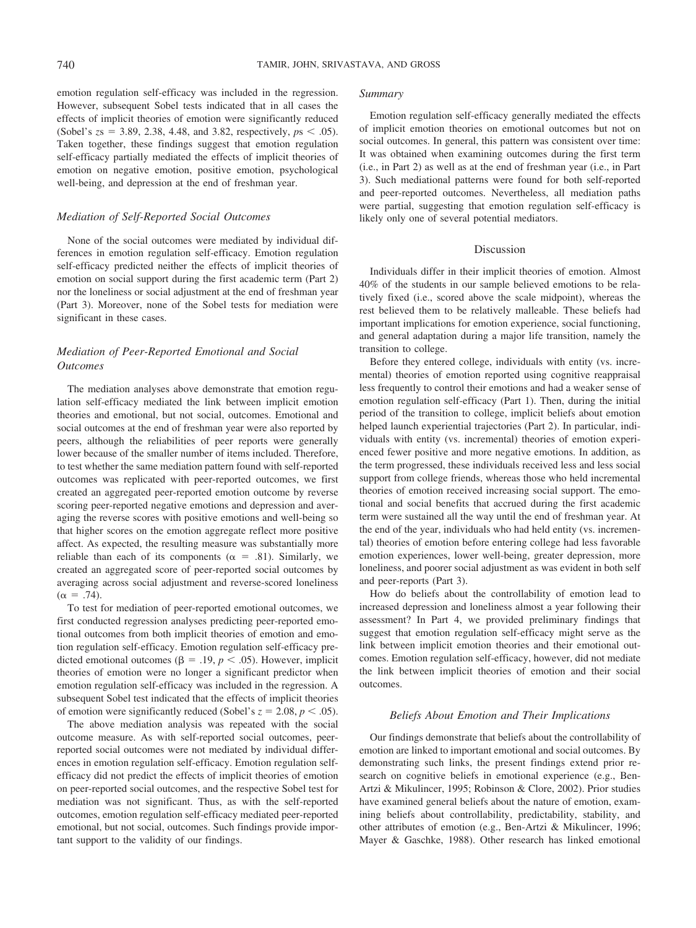emotion regulation self-efficacy was included in the regression. However, subsequent Sobel tests indicated that in all cases the effects of implicit theories of emotion were significantly reduced (Sobel's  $zs = 3.89, 2.38, 4.48,$  and 3.82, respectively,  $ps < .05$ ). Taken together, these findings suggest that emotion regulation self-efficacy partially mediated the effects of implicit theories of emotion on negative emotion, positive emotion, psychological well-being, and depression at the end of freshman year.

## *Mediation of Self-Reported Social Outcomes*

None of the social outcomes were mediated by individual differences in emotion regulation self-efficacy. Emotion regulation self-efficacy predicted neither the effects of implicit theories of emotion on social support during the first academic term (Part 2) nor the loneliness or social adjustment at the end of freshman year (Part 3). Moreover, none of the Sobel tests for mediation were significant in these cases.

## *Mediation of Peer-Reported Emotional and Social Outcomes*

The mediation analyses above demonstrate that emotion regulation self-efficacy mediated the link between implicit emotion theories and emotional, but not social, outcomes. Emotional and social outcomes at the end of freshman year were also reported by peers, although the reliabilities of peer reports were generally lower because of the smaller number of items included. Therefore, to test whether the same mediation pattern found with self-reported outcomes was replicated with peer-reported outcomes, we first created an aggregated peer-reported emotion outcome by reverse scoring peer-reported negative emotions and depression and averaging the reverse scores with positive emotions and well-being so that higher scores on the emotion aggregate reflect more positive affect. As expected, the resulting measure was substantially more reliable than each of its components ( $\alpha = .81$ ). Similarly, we created an aggregated score of peer-reported social outcomes by averaging across social adjustment and reverse-scored loneliness  $(\alpha = .74)$ .

To test for mediation of peer-reported emotional outcomes, we first conducted regression analyses predicting peer-reported emotional outcomes from both implicit theories of emotion and emotion regulation self-efficacy. Emotion regulation self-efficacy predicted emotional outcomes ( $\beta$  = .19,  $p$  < .05). However, implicit theories of emotion were no longer a significant predictor when emotion regulation self-efficacy was included in the regression. A subsequent Sobel test indicated that the effects of implicit theories of emotion were significantly reduced (Sobel's  $z = 2.08$ ,  $p < .05$ ).

The above mediation analysis was repeated with the social outcome measure. As with self-reported social outcomes, peerreported social outcomes were not mediated by individual differences in emotion regulation self-efficacy. Emotion regulation selfefficacy did not predict the effects of implicit theories of emotion on peer-reported social outcomes, and the respective Sobel test for mediation was not significant. Thus, as with the self-reported outcomes, emotion regulation self-efficacy mediated peer-reported emotional, but not social, outcomes. Such findings provide important support to the validity of our findings.

#### *Summary*

Emotion regulation self-efficacy generally mediated the effects of implicit emotion theories on emotional outcomes but not on social outcomes. In general, this pattern was consistent over time: It was obtained when examining outcomes during the first term (i.e., in Part 2) as well as at the end of freshman year (i.e., in Part 3). Such mediational patterns were found for both self-reported and peer-reported outcomes. Nevertheless, all mediation paths were partial, suggesting that emotion regulation self-efficacy is likely only one of several potential mediators.

## Discussion

Individuals differ in their implicit theories of emotion. Almost 40% of the students in our sample believed emotions to be relatively fixed (i.e., scored above the scale midpoint), whereas the rest believed them to be relatively malleable. These beliefs had important implications for emotion experience, social functioning, and general adaptation during a major life transition, namely the transition to college.

Before they entered college, individuals with entity (vs. incremental) theories of emotion reported using cognitive reappraisal less frequently to control their emotions and had a weaker sense of emotion regulation self-efficacy (Part 1). Then, during the initial period of the transition to college, implicit beliefs about emotion helped launch experiential trajectories (Part 2). In particular, individuals with entity (vs. incremental) theories of emotion experienced fewer positive and more negative emotions. In addition, as the term progressed, these individuals received less and less social support from college friends, whereas those who held incremental theories of emotion received increasing social support. The emotional and social benefits that accrued during the first academic term were sustained all the way until the end of freshman year. At the end of the year, individuals who had held entity (vs. incremental) theories of emotion before entering college had less favorable emotion experiences, lower well-being, greater depression, more loneliness, and poorer social adjustment as was evident in both self and peer-reports (Part 3).

How do beliefs about the controllability of emotion lead to increased depression and loneliness almost a year following their assessment? In Part 4, we provided preliminary findings that suggest that emotion regulation self-efficacy might serve as the link between implicit emotion theories and their emotional outcomes. Emotion regulation self-efficacy, however, did not mediate the link between implicit theories of emotion and their social outcomes.

## *Beliefs About Emotion and Their Implications*

Our findings demonstrate that beliefs about the controllability of emotion are linked to important emotional and social outcomes. By demonstrating such links, the present findings extend prior research on cognitive beliefs in emotional experience (e.g., Ben-Artzi & Mikulincer, 1995; Robinson & Clore, 2002). Prior studies have examined general beliefs about the nature of emotion, examining beliefs about controllability, predictability, stability, and other attributes of emotion (e.g., Ben-Artzi & Mikulincer, 1996; Mayer & Gaschke, 1988). Other research has linked emotional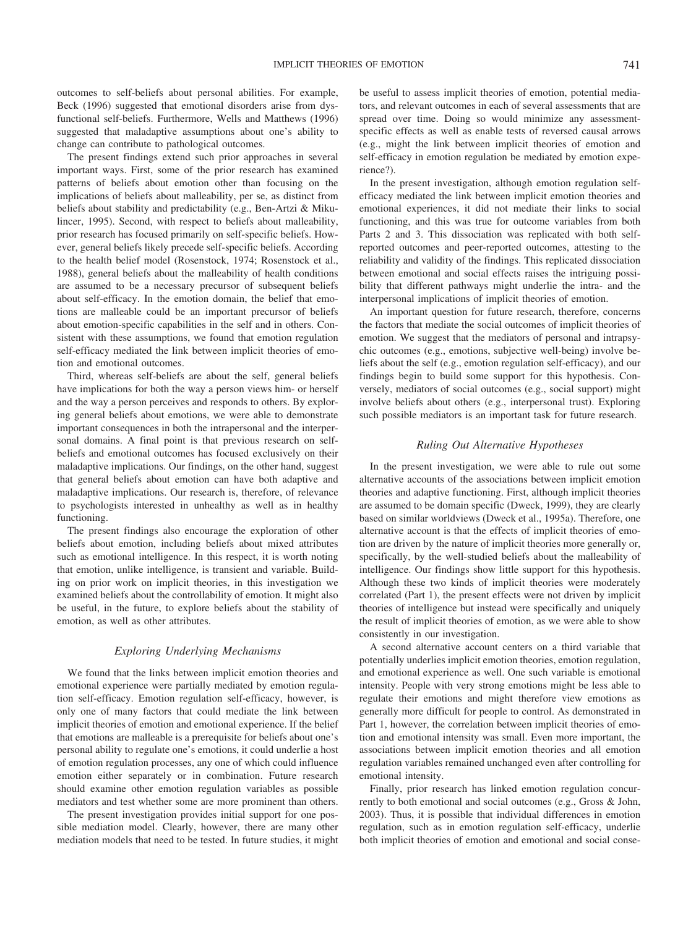outcomes to self-beliefs about personal abilities. For example, Beck (1996) suggested that emotional disorders arise from dysfunctional self-beliefs. Furthermore, Wells and Matthews (1996) suggested that maladaptive assumptions about one's ability to change can contribute to pathological outcomes.

The present findings extend such prior approaches in several important ways. First, some of the prior research has examined patterns of beliefs about emotion other than focusing on the implications of beliefs about malleability, per se, as distinct from beliefs about stability and predictability (e.g., Ben-Artzi & Mikulincer, 1995). Second, with respect to beliefs about malleability, prior research has focused primarily on self-specific beliefs. However, general beliefs likely precede self-specific beliefs. According to the health belief model (Rosenstock, 1974; Rosenstock et al., 1988), general beliefs about the malleability of health conditions are assumed to be a necessary precursor of subsequent beliefs about self-efficacy. In the emotion domain, the belief that emotions are malleable could be an important precursor of beliefs about emotion-specific capabilities in the self and in others. Consistent with these assumptions, we found that emotion regulation self-efficacy mediated the link between implicit theories of emotion and emotional outcomes.

Third, whereas self-beliefs are about the self, general beliefs have implications for both the way a person views him- or herself and the way a person perceives and responds to others. By exploring general beliefs about emotions, we were able to demonstrate important consequences in both the intrapersonal and the interpersonal domains. A final point is that previous research on selfbeliefs and emotional outcomes has focused exclusively on their maladaptive implications. Our findings, on the other hand, suggest that general beliefs about emotion can have both adaptive and maladaptive implications. Our research is, therefore, of relevance to psychologists interested in unhealthy as well as in healthy functioning.

The present findings also encourage the exploration of other beliefs about emotion, including beliefs about mixed attributes such as emotional intelligence. In this respect, it is worth noting that emotion, unlike intelligence, is transient and variable. Building on prior work on implicit theories, in this investigation we examined beliefs about the controllability of emotion. It might also be useful, in the future, to explore beliefs about the stability of emotion, as well as other attributes.

## *Exploring Underlying Mechanisms*

We found that the links between implicit emotion theories and emotional experience were partially mediated by emotion regulation self-efficacy. Emotion regulation self-efficacy, however, is only one of many factors that could mediate the link between implicit theories of emotion and emotional experience. If the belief that emotions are malleable is a prerequisite for beliefs about one's personal ability to regulate one's emotions, it could underlie a host of emotion regulation processes, any one of which could influence emotion either separately or in combination. Future research should examine other emotion regulation variables as possible mediators and test whether some are more prominent than others.

The present investigation provides initial support for one possible mediation model. Clearly, however, there are many other mediation models that need to be tested. In future studies, it might be useful to assess implicit theories of emotion, potential mediators, and relevant outcomes in each of several assessments that are spread over time. Doing so would minimize any assessmentspecific effects as well as enable tests of reversed causal arrows (e.g., might the link between implicit theories of emotion and self-efficacy in emotion regulation be mediated by emotion experience?).

In the present investigation, although emotion regulation selfefficacy mediated the link between implicit emotion theories and emotional experiences, it did not mediate their links to social functioning, and this was true for outcome variables from both Parts 2 and 3. This dissociation was replicated with both selfreported outcomes and peer-reported outcomes, attesting to the reliability and validity of the findings. This replicated dissociation between emotional and social effects raises the intriguing possibility that different pathways might underlie the intra- and the interpersonal implications of implicit theories of emotion.

An important question for future research, therefore, concerns the factors that mediate the social outcomes of implicit theories of emotion. We suggest that the mediators of personal and intrapsychic outcomes (e.g., emotions, subjective well-being) involve beliefs about the self (e.g., emotion regulation self-efficacy), and our findings begin to build some support for this hypothesis. Conversely, mediators of social outcomes (e.g., social support) might involve beliefs about others (e.g., interpersonal trust). Exploring such possible mediators is an important task for future research.

## *Ruling Out Alternative Hypotheses*

In the present investigation, we were able to rule out some alternative accounts of the associations between implicit emotion theories and adaptive functioning. First, although implicit theories are assumed to be domain specific (Dweck, 1999), they are clearly based on similar worldviews (Dweck et al., 1995a). Therefore, one alternative account is that the effects of implicit theories of emotion are driven by the nature of implicit theories more generally or, specifically, by the well-studied beliefs about the malleability of intelligence. Our findings show little support for this hypothesis. Although these two kinds of implicit theories were moderately correlated (Part 1), the present effects were not driven by implicit theories of intelligence but instead were specifically and uniquely the result of implicit theories of emotion, as we were able to show consistently in our investigation.

A second alternative account centers on a third variable that potentially underlies implicit emotion theories, emotion regulation, and emotional experience as well. One such variable is emotional intensity. People with very strong emotions might be less able to regulate their emotions and might therefore view emotions as generally more difficult for people to control. As demonstrated in Part 1, however, the correlation between implicit theories of emotion and emotional intensity was small. Even more important, the associations between implicit emotion theories and all emotion regulation variables remained unchanged even after controlling for emotional intensity.

Finally, prior research has linked emotion regulation concurrently to both emotional and social outcomes (e.g., Gross & John, 2003). Thus, it is possible that individual differences in emotion regulation, such as in emotion regulation self-efficacy, underlie both implicit theories of emotion and emotional and social conse-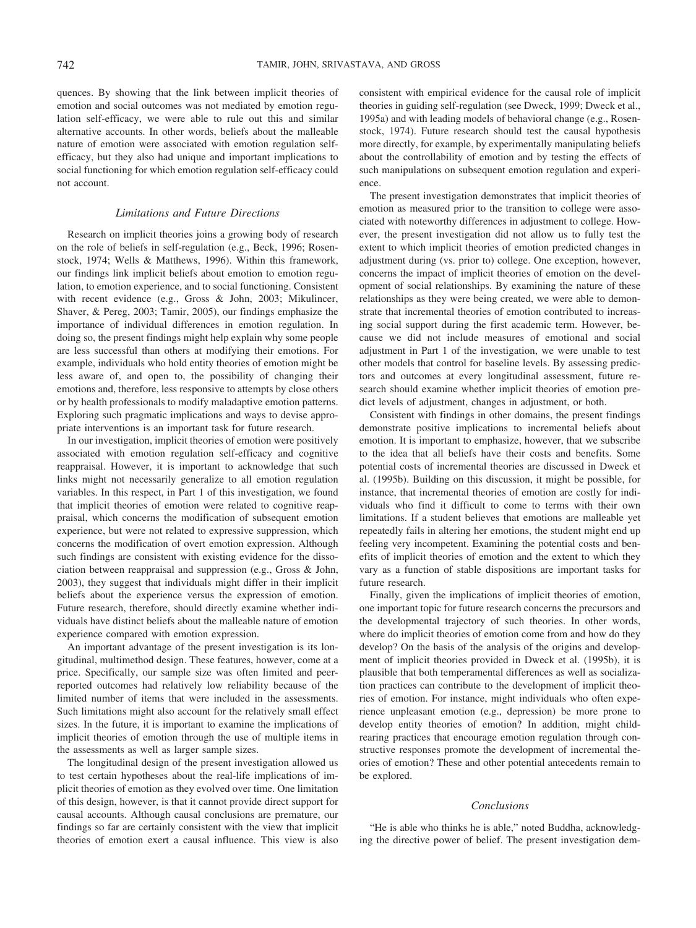quences. By showing that the link between implicit theories of emotion and social outcomes was not mediated by emotion regulation self-efficacy, we were able to rule out this and similar alternative accounts. In other words, beliefs about the malleable nature of emotion were associated with emotion regulation selfefficacy, but they also had unique and important implications to social functioning for which emotion regulation self-efficacy could not account.

#### *Limitations and Future Directions*

Research on implicit theories joins a growing body of research on the role of beliefs in self-regulation (e.g., Beck, 1996; Rosenstock, 1974; Wells & Matthews, 1996). Within this framework, our findings link implicit beliefs about emotion to emotion regulation, to emotion experience, and to social functioning. Consistent with recent evidence (e.g., Gross & John, 2003; Mikulincer, Shaver, & Pereg, 2003; Tamir, 2005), our findings emphasize the importance of individual differences in emotion regulation. In doing so, the present findings might help explain why some people are less successful than others at modifying their emotions. For example, individuals who hold entity theories of emotion might be less aware of, and open to, the possibility of changing their emotions and, therefore, less responsive to attempts by close others or by health professionals to modify maladaptive emotion patterns. Exploring such pragmatic implications and ways to devise appropriate interventions is an important task for future research.

In our investigation, implicit theories of emotion were positively associated with emotion regulation self-efficacy and cognitive reappraisal. However, it is important to acknowledge that such links might not necessarily generalize to all emotion regulation variables. In this respect, in Part 1 of this investigation, we found that implicit theories of emotion were related to cognitive reappraisal, which concerns the modification of subsequent emotion experience, but were not related to expressive suppression, which concerns the modification of overt emotion expression. Although such findings are consistent with existing evidence for the dissociation between reappraisal and suppression (e.g., Gross & John, 2003), they suggest that individuals might differ in their implicit beliefs about the experience versus the expression of emotion. Future research, therefore, should directly examine whether individuals have distinct beliefs about the malleable nature of emotion experience compared with emotion expression.

An important advantage of the present investigation is its longitudinal, multimethod design. These features, however, come at a price. Specifically, our sample size was often limited and peerreported outcomes had relatively low reliability because of the limited number of items that were included in the assessments. Such limitations might also account for the relatively small effect sizes. In the future, it is important to examine the implications of implicit theories of emotion through the use of multiple items in the assessments as well as larger sample sizes.

The longitudinal design of the present investigation allowed us to test certain hypotheses about the real-life implications of implicit theories of emotion as they evolved over time. One limitation of this design, however, is that it cannot provide direct support for causal accounts. Although causal conclusions are premature, our findings so far are certainly consistent with the view that implicit theories of emotion exert a causal influence. This view is also consistent with empirical evidence for the causal role of implicit theories in guiding self-regulation (see Dweck, 1999; Dweck et al., 1995a) and with leading models of behavioral change (e.g., Rosenstock, 1974). Future research should test the causal hypothesis more directly, for example, by experimentally manipulating beliefs about the controllability of emotion and by testing the effects of such manipulations on subsequent emotion regulation and experience.

The present investigation demonstrates that implicit theories of emotion as measured prior to the transition to college were associated with noteworthy differences in adjustment to college. However, the present investigation did not allow us to fully test the extent to which implicit theories of emotion predicted changes in adjustment during (vs. prior to) college. One exception, however, concerns the impact of implicit theories of emotion on the development of social relationships. By examining the nature of these relationships as they were being created, we were able to demonstrate that incremental theories of emotion contributed to increasing social support during the first academic term. However, because we did not include measures of emotional and social adjustment in Part 1 of the investigation, we were unable to test other models that control for baseline levels. By assessing predictors and outcomes at every longitudinal assessment, future research should examine whether implicit theories of emotion predict levels of adjustment, changes in adjustment, or both.

Consistent with findings in other domains, the present findings demonstrate positive implications to incremental beliefs about emotion. It is important to emphasize, however, that we subscribe to the idea that all beliefs have their costs and benefits. Some potential costs of incremental theories are discussed in Dweck et al. (1995b). Building on this discussion, it might be possible, for instance, that incremental theories of emotion are costly for individuals who find it difficult to come to terms with their own limitations. If a student believes that emotions are malleable yet repeatedly fails in altering her emotions, the student might end up feeling very incompetent. Examining the potential costs and benefits of implicit theories of emotion and the extent to which they vary as a function of stable dispositions are important tasks for future research.

Finally, given the implications of implicit theories of emotion, one important topic for future research concerns the precursors and the developmental trajectory of such theories. In other words, where do implicit theories of emotion come from and how do they develop? On the basis of the analysis of the origins and development of implicit theories provided in Dweck et al. (1995b), it is plausible that both temperamental differences as well as socialization practices can contribute to the development of implicit theories of emotion. For instance, might individuals who often experience unpleasant emotion (e.g., depression) be more prone to develop entity theories of emotion? In addition, might childrearing practices that encourage emotion regulation through constructive responses promote the development of incremental theories of emotion? These and other potential antecedents remain to be explored.

## *Conclusions*

"He is able who thinks he is able," noted Buddha, acknowledging the directive power of belief. The present investigation dem-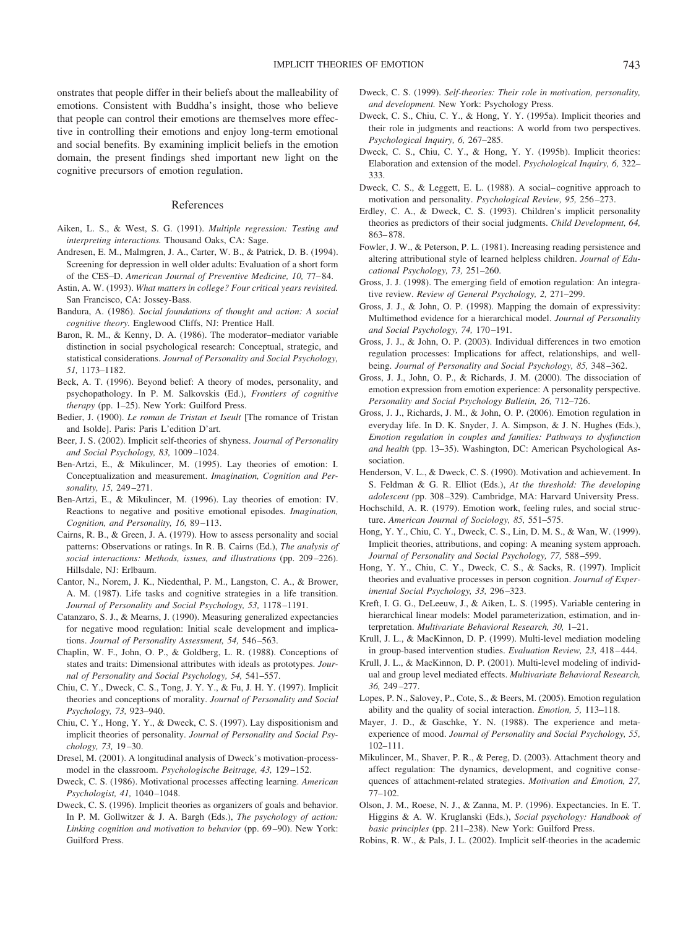onstrates that people differ in their beliefs about the malleability of emotions. Consistent with Buddha's insight, those who believe that people can control their emotions are themselves more effective in controlling their emotions and enjoy long-term emotional and social benefits. By examining implicit beliefs in the emotion domain, the present findings shed important new light on the cognitive precursors of emotion regulation.

## References

- Aiken, L. S., & West, S. G. (1991). *Multiple regression: Testing and interpreting interactions.* Thousand Oaks, CA: Sage.
- Andresen, E. M., Malmgren, J. A., Carter, W. B., & Patrick, D. B. (1994). Screening for depression in well older adults: Evaluation of a short form of the CES–D. *American Journal of Preventive Medicine, 10,* 77– 84.
- Astin, A. W. (1993). *What matters in college? Four critical years revisited.* San Francisco, CA: Jossey-Bass.
- Bandura, A. (1986). *Social foundations of thought and action: A social cognitive theory.* Englewood Cliffs, NJ: Prentice Hall.
- Baron, R. M., & Kenny, D. A. (1986). The moderator–mediator variable distinction in social psychological research: Conceptual, strategic, and statistical considerations. *Journal of Personality and Social Psychology, 51,* 1173–1182.
- Beck, A. T. (1996). Beyond belief: A theory of modes, personality, and psychopathology. In P. M. Salkovskis (Ed.), *Frontiers of cognitive therapy* (pp. 1–25). New York: Guilford Press.
- Bedier, J. (1900). *Le roman de Tristan et Iseult* [The romance of Tristan and Isolde]. Paris: Paris L'edition D'art.
- Beer, J. S. (2002). Implicit self-theories of shyness. *Journal of Personality and Social Psychology, 83,* 1009 –1024.
- Ben-Artzi, E., & Mikulincer, M. (1995). Lay theories of emotion: I. Conceptualization and measurement. *Imagination, Cognition and Personality, 15,* 249 –271.
- Ben-Artzi, E., & Mikulincer, M. (1996). Lay theories of emotion: IV. Reactions to negative and positive emotional episodes. *Imagination, Cognition, and Personality, 16,* 89 –113.
- Cairns, R. B., & Green, J. A. (1979). How to assess personality and social patterns: Observations or ratings. In R. B. Cairns (Ed.), *The analysis of social interactions: Methods, issues, and illustrations* (pp. 209 –226). Hillsdale, NJ: Erlbaum.
- Cantor, N., Norem, J. K., Niedenthal, P. M., Langston, C. A., & Brower, A. M. (1987). Life tasks and cognitive strategies in a life transition. *Journal of Personality and Social Psychology, 53,* 1178 –1191.
- Catanzaro, S. J., & Mearns, J. (1990). Measuring generalized expectancies for negative mood regulation: Initial scale development and implications. *Journal of Personality Assessment, 54,* 546 –563.
- Chaplin, W. F., John, O. P., & Goldberg, L. R. (1988). Conceptions of states and traits: Dimensional attributes with ideals as prototypes. *Journal of Personality and Social Psychology, 54,* 541–557.
- Chiu, C. Y., Dweck, C. S., Tong, J. Y. Y., & Fu, J. H. Y. (1997). Implicit theories and conceptions of morality. *Journal of Personality and Social Psychology, 73,* 923–940.
- Chiu, C. Y., Hong, Y. Y., & Dweck, C. S. (1997). Lay dispositionism and implicit theories of personality. *Journal of Personality and Social Psychology, 73,* 19 –30.
- Dresel, M. (2001). A longitudinal analysis of Dweck's motivation-processmodel in the classroom. *Psychologische Beitrage, 43,* 129 –152.
- Dweck, C. S. (1986). Motivational processes affecting learning. *American Psychologist, 41,* 1040 –1048.
- Dweck, C. S. (1996). Implicit theories as organizers of goals and behavior. In P. M. Gollwitzer & J. A. Bargh (Eds.), *The psychology of action: Linking cognition and motivation to behavior* (pp. 69 –90). New York: Guilford Press.
- Dweck, C. S. (1999). *Self-theories: Their role in motivation, personality, and development.* New York: Psychology Press.
- Dweck, C. S., Chiu, C. Y., & Hong, Y. Y. (1995a). Implicit theories and their role in judgments and reactions: A world from two perspectives. *Psychological Inquiry, 6,* 267–285.
- Dweck, C. S., Chiu, C. Y., & Hong, Y. Y. (1995b). Implicit theories: Elaboration and extension of the model. *Psychological Inquiry, 6,* 322– 333.
- Dweck, C. S., & Leggett, E. L. (1988). A social– cognitive approach to motivation and personality. *Psychological Review, 95,* 256 –273.
- Erdley, C. A., & Dweck, C. S. (1993). Children's implicit personality theories as predictors of their social judgments. *Child Development, 64,* 863– 878.
- Fowler, J. W., & Peterson, P. L. (1981). Increasing reading persistence and altering attributional style of learned helpless children. *Journal of Educational Psychology, 73,* 251–260.
- Gross, J. J. (1998). The emerging field of emotion regulation: An integrative review. *Review of General Psychology, 2,* 271–299.
- Gross, J. J., & John, O. P. (1998). Mapping the domain of expressivity: Multimethod evidence for a hierarchical model. *Journal of Personality and Social Psychology, 74,* 170 –191.
- Gross, J. J., & John, O. P. (2003). Individual differences in two emotion regulation processes: Implications for affect, relationships, and wellbeing. *Journal of Personality and Social Psychology, 85,* 348 –362.
- Gross, J. J., John, O. P., & Richards, J. M. (2000). The dissociation of emotion expression from emotion experience: A personality perspective. *Personality and Social Psychology Bulletin, 26,* 712–726.
- Gross, J. J., Richards, J. M., & John, O. P. (2006). Emotion regulation in everyday life. In D. K. Snyder, J. A. Simpson, & J. N. Hughes (Eds.), *Emotion regulation in couples and families: Pathways to dysfunction and health* (pp. 13–35). Washington, DC: American Psychological Association.
- Henderson, V. L., & Dweck, C. S. (1990). Motivation and achievement. In S. Feldman & G. R. Elliot (Eds.), *At the threshold: The developing adolescent (*pp. 308 –329). Cambridge, MA: Harvard University Press.
- Hochschild, A. R. (1979). Emotion work, feeling rules, and social structure. *American Journal of Sociology, 85,* 551–575.
- Hong, Y. Y., Chiu, C. Y., Dweck, C. S., Lin, D. M. S., & Wan, W. (1999). Implicit theories, attributions, and coping: A meaning system approach. *Journal of Personality and Social Psychology, 77,* 588 –599.
- Hong, Y. Y., Chiu, C. Y., Dweck, C. S., & Sacks, R. (1997). Implicit theories and evaluative processes in person cognition. *Journal of Experimental Social Psychology, 33,* 296 –323.
- Kreft, I. G. G., DeLeeuw, J., & Aiken, L. S. (1995). Variable centering in hierarchical linear models: Model parameterization, estimation, and interpretation. *Multivariate Behavioral Research, 30,* 1–21.
- Krull, J. L., & MacKinnon, D. P. (1999). Multi-level mediation modeling in group-based intervention studies. *Evaluation Review, 23,* 418 – 444.
- Krull, J. L., & MacKinnon, D. P. (2001). Multi-level modeling of individual and group level mediated effects. *Multivariate Behavioral Research, 36,* 249 –277.
- Lopes, P. N., Salovey, P., Cote, S., & Beers, M. (2005). Emotion regulation ability and the quality of social interaction. *Emotion, 5,* 113–118.
- Mayer, J. D., & Gaschke, Y. N. (1988). The experience and metaexperience of mood. *Journal of Personality and Social Psychology, 55,* 102–111.
- Mikulincer, M., Shaver, P. R., & Pereg, D. (2003). Attachment theory and affect regulation: The dynamics, development, and cognitive consequences of attachment-related strategies. *Motivation and Emotion, 27,* 77–102.
- Olson, J. M., Roese, N. J., & Zanna, M. P. (1996). Expectancies. In E. T. Higgins & A. W. Kruglanski (Eds.), *Social psychology: Handbook of basic principles* (pp. 211–238). New York: Guilford Press.
- Robins, R. W., & Pals, J. L. (2002). Implicit self-theories in the academic